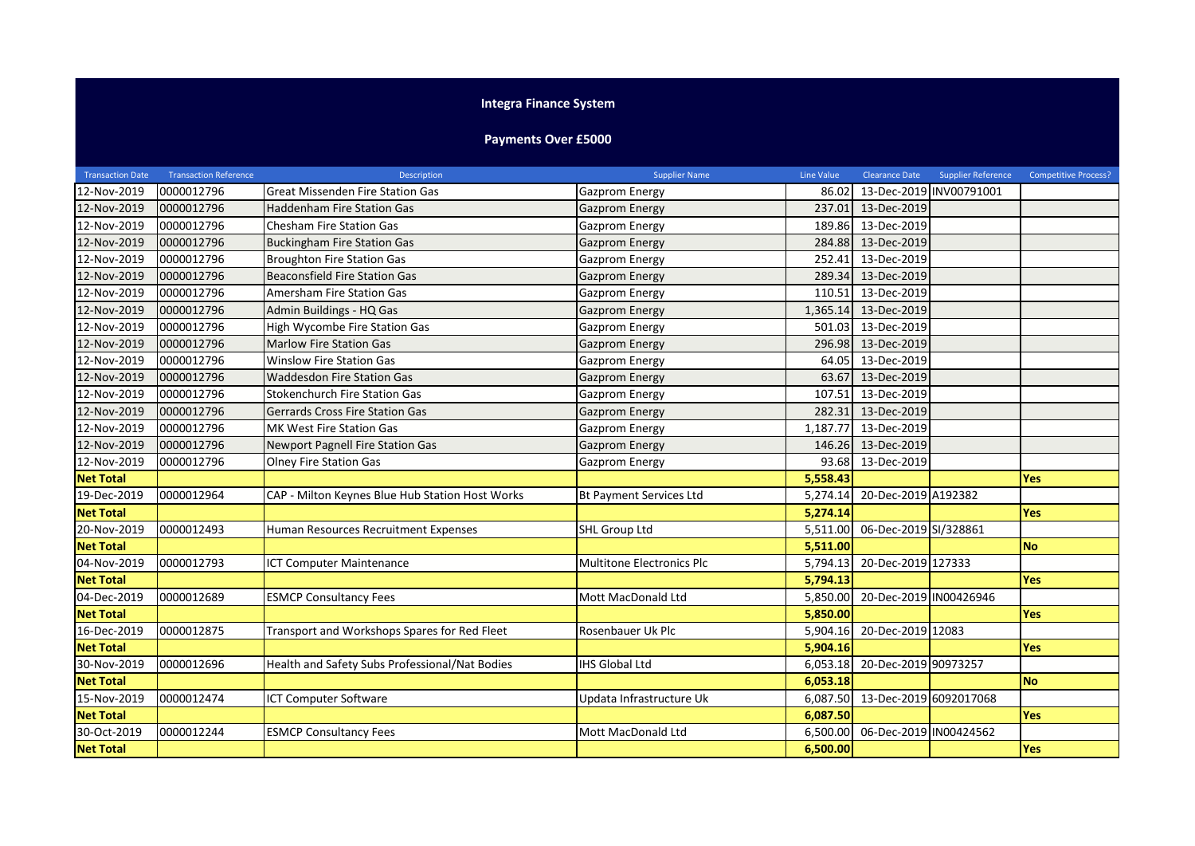## **Integra Finance System**

## **Payments Over £5000**

| <b>Transaction Date</b> | <b>Transaction Reference</b> | Description                                     | <b>Supplier Name</b>           | Line Value | Clearance Date                | <b>Supplier Reference</b> | <b>Competitive Process?</b> |
|-------------------------|------------------------------|-------------------------------------------------|--------------------------------|------------|-------------------------------|---------------------------|-----------------------------|
| 12-Nov-2019             | 0000012796                   | <b>Great Missenden Fire Station Gas</b>         | Gazprom Energy                 | 86.02      |                               | 13-Dec-2019 INV00791001   |                             |
| 12-Nov-2019             | 0000012796                   | <b>Haddenham Fire Station Gas</b>               | Gazprom Energy                 | 237.01     | 13-Dec-2019                   |                           |                             |
| 12-Nov-2019             | 0000012796                   | Chesham Fire Station Gas                        | <b>Gazprom Energy</b>          | 189.86     | 13-Dec-2019                   |                           |                             |
| 12-Nov-2019             | 0000012796                   | <b>Buckingham Fire Station Gas</b>              | <b>Gazprom Energy</b>          | 284.88     | 13-Dec-2019                   |                           |                             |
| 12-Nov-2019             | 0000012796                   | <b>Broughton Fire Station Gas</b>               | <b>Gazprom Energy</b>          | 252.41     | 13-Dec-2019                   |                           |                             |
| 12-Nov-2019             | 0000012796                   | <b>Beaconsfield Fire Station Gas</b>            | <b>Gazprom Energy</b>          | 289.34     | 13-Dec-2019                   |                           |                             |
| 12-Nov-2019             | 0000012796                   | Amersham Fire Station Gas                       | Gazprom Energy                 | 110.51     | 13-Dec-2019                   |                           |                             |
| 12-Nov-2019             | 0000012796                   | Admin Buildings - HQ Gas                        | <b>Gazprom Energy</b>          | 1,365.14   | 13-Dec-2019                   |                           |                             |
| 12-Nov-2019             | 0000012796                   | High Wycombe Fire Station Gas                   | Gazprom Energy                 | 501.03     | 13-Dec-2019                   |                           |                             |
| 12-Nov-2019             | 0000012796                   | <b>Marlow Fire Station Gas</b>                  | <b>Gazprom Energy</b>          | 296.98     | 13-Dec-2019                   |                           |                             |
| 12-Nov-2019             | 0000012796                   | <b>Winslow Fire Station Gas</b>                 | Gazprom Energy                 | 64.05      | 13-Dec-2019                   |                           |                             |
| 12-Nov-2019             | 0000012796                   | <b>Waddesdon Fire Station Gas</b>               | <b>Gazprom Energy</b>          | 63.67      | 13-Dec-2019                   |                           |                             |
| 12-Nov-2019             | 0000012796                   | <b>Stokenchurch Fire Station Gas</b>            | Gazprom Energy                 | 107.51     | 13-Dec-2019                   |                           |                             |
| 12-Nov-2019             | 0000012796                   | <b>Gerrards Cross Fire Station Gas</b>          | <b>Gazprom Energy</b>          | 282.31     | 13-Dec-2019                   |                           |                             |
| 12-Nov-2019             | 0000012796                   | MK West Fire Station Gas                        | Gazprom Energy                 | 1,187.77   | 13-Dec-2019                   |                           |                             |
| 12-Nov-2019             | 0000012796                   | <b>Newport Pagnell Fire Station Gas</b>         | <b>Gazprom Energy</b>          | 146.26     | 13-Dec-2019                   |                           |                             |
| 12-Nov-2019             | 0000012796                   | <b>Olney Fire Station Gas</b>                   | Gazprom Energy                 | 93.68      | 13-Dec-2019                   |                           |                             |
| <b>Net Total</b>        |                              |                                                 |                                | 5,558.43   |                               |                           | <b>Yes</b>                  |
| 19-Dec-2019             | 0000012964                   | CAP - Milton Keynes Blue Hub Station Host Works | <b>Bt Payment Services Ltd</b> | 5,274.14   | 20-Dec-2019 A192382           |                           |                             |
| <b>Net Total</b>        |                              |                                                 |                                | 5,274.14   |                               |                           | <b>Yes</b>                  |
| 20-Nov-2019             | 0000012493                   | Human Resources Recruitment Expenses            | <b>SHL Group Ltd</b>           | 5.511.00   | 06-Dec-2019 SI/328861         |                           |                             |
| <b>Net Total</b>        |                              |                                                 |                                | 5,511.00   |                               |                           | <b>No</b>                   |
| 04-Nov-2019             | 0000012793                   | ICT Computer Maintenance                        | Multitone Electronics Plc      | 5,794.13   | 20-Dec-2019 127333            |                           |                             |
| <b>Net Total</b>        |                              |                                                 |                                | 5,794.13   |                               |                           | <b>Yes</b>                  |
| 04-Dec-2019             | 0000012689                   | <b>ESMCP Consultancy Fees</b>                   | Mott MacDonald Ltd             | 5,850.00   | 20-Dec-2019 IN00426946        |                           |                             |
| <b>Net Total</b>        |                              |                                                 |                                | 5.850.00   |                               |                           | <b>Yes</b>                  |
| 16-Dec-2019             | 0000012875                   | Transport and Workshops Spares for Red Fleet    | Rosenbauer Uk Plc              | 5,904.16   | 20-Dec-2019 12083             |                           |                             |
| <b>Net Total</b>        |                              |                                                 |                                | 5,904.16   |                               |                           | <b>Yes</b>                  |
| 30-Nov-2019             | 0000012696                   | Health and Safety Subs Professional/Nat Bodies  | <b>IHS Global Ltd</b>          |            | 6,053.18 20-Dec-2019 90973257 |                           |                             |
| <b>Net Total</b>        |                              |                                                 |                                | 6,053.18   |                               |                           | <b>No</b>                   |
| 15-Nov-2019             | 0000012474                   | <b>ICT Computer Software</b>                    | Updata Infrastructure Uk       | 6,087.50   | 13-Dec-2019 6092017068        |                           |                             |
| <b>Net Total</b>        |                              |                                                 |                                | 6,087.50   |                               |                           | <b>Yes</b>                  |
| 30-Oct-2019             | 0000012244                   | <b>ESMCP Consultancy Fees</b>                   | Mott MacDonald Ltd             | 6,500.00   | 06-Dec-2019 IN00424562        |                           |                             |
| <b>Net Total</b>        |                              |                                                 |                                | 6,500.00   |                               |                           | <b>Yes</b>                  |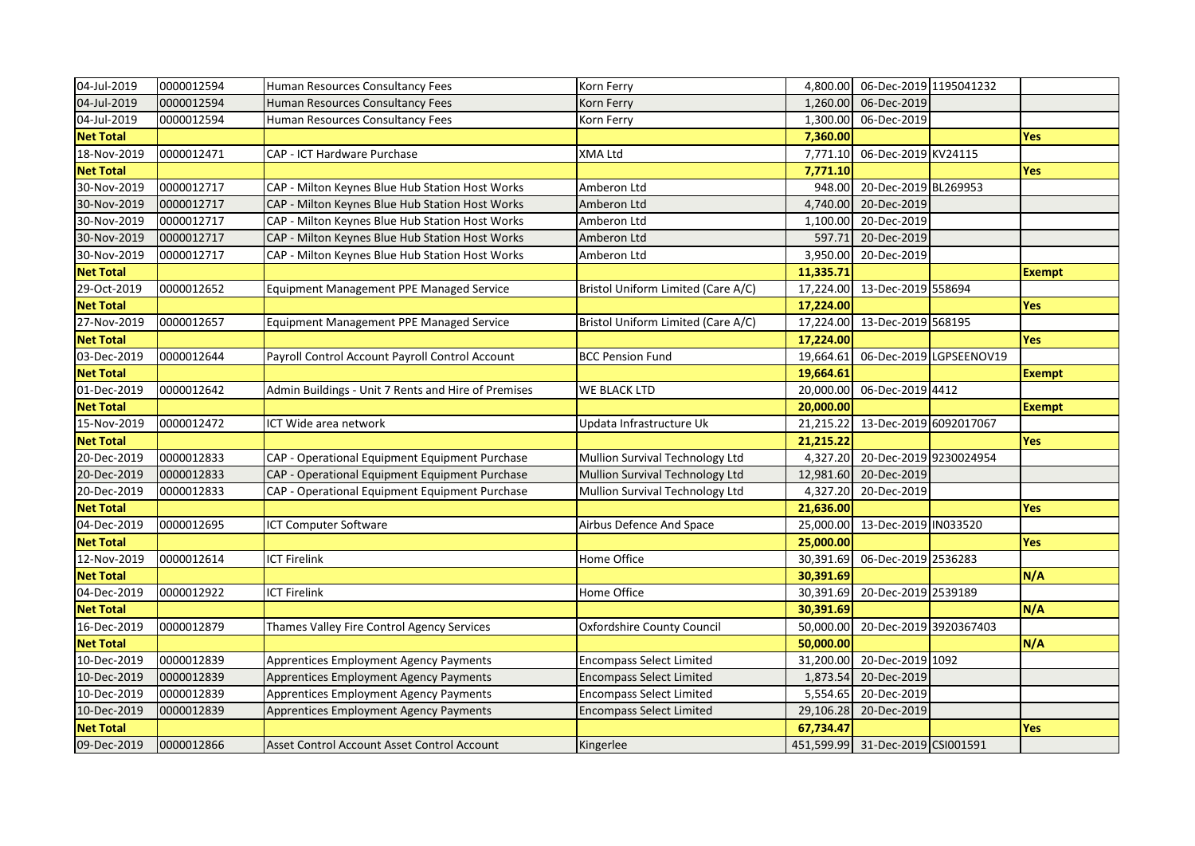| 04-Jul-2019      | 0000012594 | Human Resources Consultancy Fees                    | Korn Ferry                         |           | 4,800.00 06-Dec-2019 1195041232  |                         |               |
|------------------|------------|-----------------------------------------------------|------------------------------------|-----------|----------------------------------|-------------------------|---------------|
| 04-Jul-2019      | 0000012594 | Human Resources Consultancy Fees                    | Korn Ferry                         | 1,260.00  | 06-Dec-2019                      |                         |               |
| 04-Jul-2019      | 0000012594 | Human Resources Consultancy Fees                    | Korn Ferry                         |           | 1,300.00 06-Dec-2019             |                         |               |
| <b>Net Total</b> |            |                                                     |                                    | 7,360.00  |                                  |                         | Yes           |
| 18-Nov-2019      | 0000012471 | CAP - ICT Hardware Purchase                         | <b>XMA Ltd</b>                     | 7,771.10  | 06-Dec-2019 KV24115              |                         |               |
| <b>Net Total</b> |            |                                                     |                                    | 7,771.10  |                                  |                         | <b>Yes</b>    |
| 30-Nov-2019      | 0000012717 | CAP - Milton Keynes Blue Hub Station Host Works     | Amberon Ltd                        | 948.00    | 20-Dec-2019 BL269953             |                         |               |
| 30-Nov-2019      | 0000012717 | CAP - Milton Keynes Blue Hub Station Host Works     | Amberon Ltd                        | 4,740.00  | 20-Dec-2019                      |                         |               |
| 30-Nov-2019      | 0000012717 | CAP - Milton Keynes Blue Hub Station Host Works     | Amberon Ltd                        | 1,100.00  | 20-Dec-2019                      |                         |               |
| 30-Nov-2019      | 0000012717 | CAP - Milton Keynes Blue Hub Station Host Works     | Amberon Ltd                        | 597.71    | 20-Dec-2019                      |                         |               |
| 30-Nov-2019      | 0000012717 | CAP - Milton Keynes Blue Hub Station Host Works     | Amberon Ltd                        | 3,950.00  | 20-Dec-2019                      |                         |               |
| <b>Net Total</b> |            |                                                     |                                    | 11,335.71 |                                  |                         | <b>Exempt</b> |
| 29-Oct-2019      | 0000012652 | Equipment Management PPE Managed Service            | Bristol Uniform Limited (Care A/C) |           | 17,224.00 13-Dec-2019 558694     |                         |               |
| <b>Net Total</b> |            |                                                     |                                    | 17,224.00 |                                  |                         | <b>Yes</b>    |
| 27-Nov-2019      | 0000012657 | Equipment Management PPE Managed Service            | Bristol Uniform Limited (Care A/C) |           | 17,224.00 13-Dec-2019 568195     |                         |               |
| <b>Net Total</b> |            |                                                     |                                    | 17,224.00 |                                  |                         | <b>Yes</b>    |
| 03-Dec-2019      | 0000012644 | Payroll Control Account Payroll Control Account     | <b>BCC Pension Fund</b>            | 19,664.61 |                                  | 06-Dec-2019 LGPSEENOV19 |               |
| <b>Net Total</b> |            |                                                     |                                    | 19,664.61 |                                  |                         | <b>Exempt</b> |
| 01-Dec-2019      | 0000012642 | Admin Buildings - Unit 7 Rents and Hire of Premises | <b>WE BLACK LTD</b>                | 20,000.00 | 06-Dec-2019 4412                 |                         |               |
| <b>Net Total</b> |            |                                                     |                                    | 20,000.00 |                                  |                         | <b>Exempt</b> |
| 15-Nov-2019      | 0000012472 | ICT Wide area network                               | Updata Infrastructure Uk           | 21,215.22 | 13-Dec-2019 6092017067           |                         |               |
| <b>Net Total</b> |            |                                                     |                                    | 21,215.22 |                                  |                         | <b>Yes</b>    |
| 20-Dec-2019      | 0000012833 | CAP - Operational Equipment Equipment Purchase      | Mullion Survival Technology Ltd    | 4,327.20  | 20-Dec-2019 9230024954           |                         |               |
| 20-Dec-2019      | 0000012833 | CAP - Operational Equipment Equipment Purchase      | Mullion Survival Technology Ltd    | 12,981.60 | 20-Dec-2019                      |                         |               |
| 20-Dec-2019      | 0000012833 | CAP - Operational Equipment Equipment Purchase      | Mullion Survival Technology Ltd    | 4,327.20  | 20-Dec-2019                      |                         |               |
| <b>Net Total</b> |            |                                                     |                                    | 21,636.00 |                                  |                         | <b>Yes</b>    |
| 04-Dec-2019      | 0000012695 | <b>ICT Computer Software</b>                        | Airbus Defence And Space           |           | 25,000.00 13-Dec-2019 IN033520   |                         |               |
| <b>Net Total</b> |            |                                                     |                                    | 25,000.00 |                                  |                         | <b>Yes</b>    |
| 12-Nov-2019      | 0000012614 | <b>ICT Firelink</b>                                 | Home Office                        | 30,391.69 | 06-Dec-2019 2536283              |                         |               |
| <b>Net Total</b> |            |                                                     |                                    | 30,391.69 |                                  |                         | N/A           |
| 04-Dec-2019      | 0000012922 | <b>ICT Firelink</b>                                 | Home Office                        |           | 30,391.69 20-Dec-2019 2539189    |                         |               |
| <b>Net Total</b> |            |                                                     |                                    | 30,391.69 |                                  |                         | N/A           |
| 16-Dec-2019      | 0000012879 | Thames Valley Fire Control Agency Services          | Oxfordshire County Council         | 50,000.00 | 20-Dec-2019 3920367403           |                         |               |
| <b>Net Total</b> |            |                                                     |                                    | 50,000.00 |                                  |                         | N/A           |
| 10-Dec-2019      | 0000012839 | Apprentices Employment Agency Payments              | <b>Encompass Select Limited</b>    | 31,200.00 | 20-Dec-2019 1092                 |                         |               |
| 10-Dec-2019      | 0000012839 | Apprentices Employment Agency Payments              | <b>Encompass Select Limited</b>    | 1,873.54  | 20-Dec-2019                      |                         |               |
| 10-Dec-2019      | 0000012839 | Apprentices Employment Agency Payments              | <b>Encompass Select Limited</b>    | 5,554.65  | 20-Dec-2019                      |                         |               |
| 10-Dec-2019      | 0000012839 | Apprentices Employment Agency Payments              | <b>Encompass Select Limited</b>    | 29,106.28 | 20-Dec-2019                      |                         |               |
| <b>Net Total</b> |            |                                                     |                                    | 67,734.47 |                                  |                         | <b>Yes</b>    |
| 09-Dec-2019      | 0000012866 | Asset Control Account Asset Control Account         | Kingerlee                          |           | 451,599.99 31-Dec-2019 CSI001591 |                         |               |